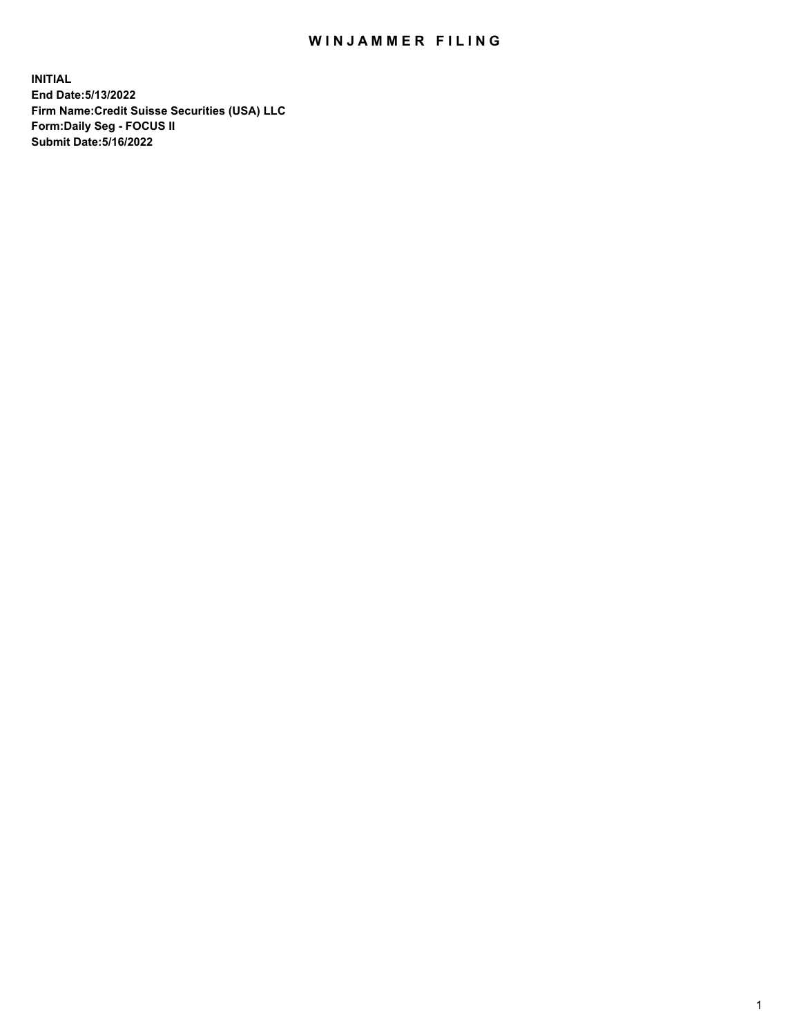# WIN JAMMER FILING

**INITIAL End Date:5/13/2022 Firm Name:Credit Suisse Securities (USA) LLC Form:Daily Seg - FOCUS II Submit Date:5/16/2022**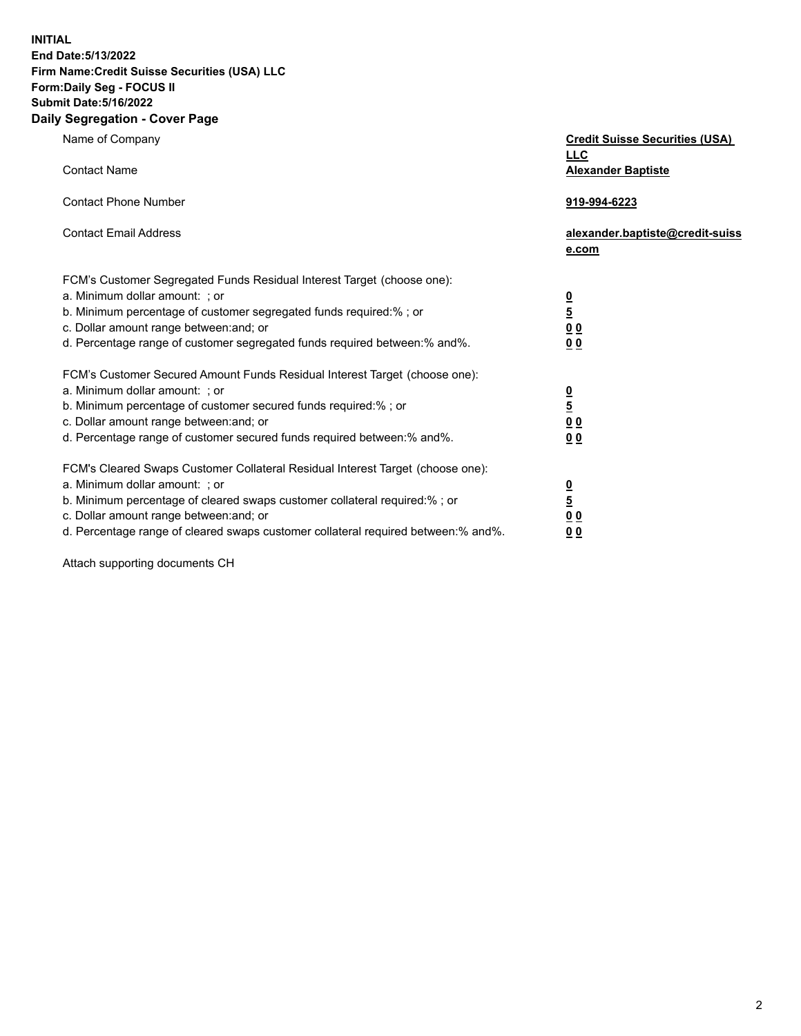**INITIAL End Date:5/13/2022** 

## **Firm Name:Credit Suisse Securities (USA) LLC Form:Daily Seg - FOCUS II Submit Date:5/16/2022**

#### **Daily Segregation - Cover Page**

| Name of Company                                                                                                                                                                                                                                                                                                                  | <b>Credit Suisse Securities (USA)</b><br><b>LLC</b>                   |
|----------------------------------------------------------------------------------------------------------------------------------------------------------------------------------------------------------------------------------------------------------------------------------------------------------------------------------|-----------------------------------------------------------------------|
| <b>Contact Name</b>                                                                                                                                                                                                                                                                                                              | <b>Alexander Baptiste</b>                                             |
| <b>Contact Phone Number</b>                                                                                                                                                                                                                                                                                                      | 919-994-6223                                                          |
| <b>Contact Email Address</b>                                                                                                                                                                                                                                                                                                     | alexander.baptiste@credit-suiss<br>e.com                              |
| FCM's Customer Segregated Funds Residual Interest Target (choose one):<br>a. Minimum dollar amount: ; or<br>b. Minimum percentage of customer segregated funds required:% ; or<br>c. Dollar amount range between: and; or<br>d. Percentage range of customer segregated funds required between: % and %.                         | $\frac{0}{5}$<br>$\underline{0} \underline{0}$<br>0 <sub>0</sub>      |
| FCM's Customer Secured Amount Funds Residual Interest Target (choose one):<br>a. Minimum dollar amount: ; or<br>b. Minimum percentage of customer secured funds required:%; or<br>c. Dollar amount range between: and; or<br>d. Percentage range of customer secured funds required between:% and%.                              | $\frac{0}{5}$<br>$\underline{0}$<br>$\underline{0}$<br>0 <sub>0</sub> |
| FCM's Cleared Swaps Customer Collateral Residual Interest Target (choose one):<br>a. Minimum dollar amount: ; or<br>b. Minimum percentage of cleared swaps customer collateral required:% ; or<br>c. Dollar amount range between: and; or<br>d. Percentage range of cleared swaps customer collateral required between: % and %. | $\frac{0}{5}$<br>0 <sub>0</sub><br>0 <sub>0</sub>                     |

Attach supporting documents CH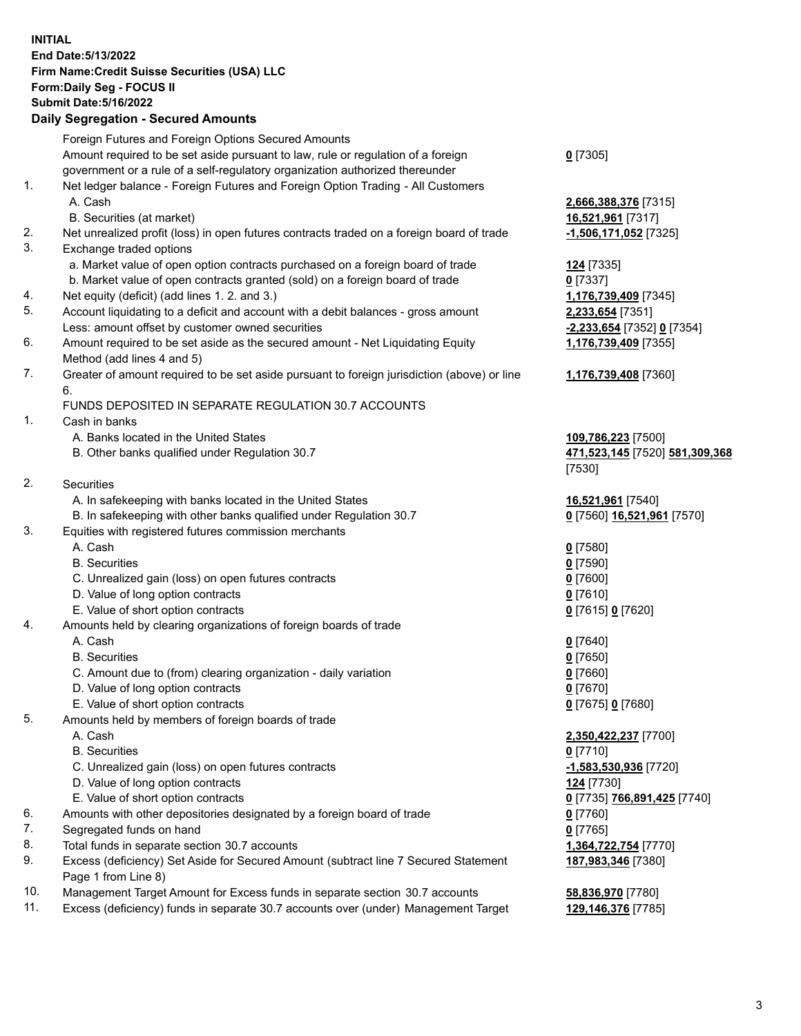#### **INITIAL End Date:5/13/2022 Firm Name:Credit Suisse Securities (USA) LLC Form:Daily Seg - FOCUS II Submit Date:5/16/2022**

### **Daily Segregation - Secured Amounts**

|     | Foreign Futures and Foreign Options Secured Amounts                                         |                                |
|-----|---------------------------------------------------------------------------------------------|--------------------------------|
|     | Amount required to be set aside pursuant to law, rule or regulation of a foreign            | $0$ [7305]                     |
|     | government or a rule of a self-regulatory organization authorized thereunder                |                                |
| 1.  | Net ledger balance - Foreign Futures and Foreign Option Trading - All Customers             |                                |
|     | A. Cash                                                                                     | 2,666,388,376 [7315]           |
|     | B. Securities (at market)                                                                   | 16,521,961 [7317]              |
| 2.  | Net unrealized profit (loss) in open futures contracts traded on a foreign board of trade   | -1,506,171,052 [7325]          |
| 3.  | Exchange traded options                                                                     |                                |
|     | a. Market value of open option contracts purchased on a foreign board of trade              | 124 [7335]                     |
|     | b. Market value of open contracts granted (sold) on a foreign board of trade                | $0$ [7337]                     |
| 4.  | Net equity (deficit) (add lines 1. 2. and 3.)                                               | 1,176,739,409 [7345]           |
| 5.  | Account liquidating to a deficit and account with a debit balances - gross amount           | 2,233,654 [7351]               |
|     | Less: amount offset by customer owned securities                                            | -2,233,654 [7352] 0 [7354]     |
| 6.  | Amount required to be set aside as the secured amount - Net Liquidating Equity              | 1,176,739,409 [7355]           |
|     | Method (add lines 4 and 5)                                                                  |                                |
| 7.  | Greater of amount required to be set aside pursuant to foreign jurisdiction (above) or line | 1,176,739,408 [7360]           |
|     | 6.                                                                                          |                                |
|     | FUNDS DEPOSITED IN SEPARATE REGULATION 30.7 ACCOUNTS                                        |                                |
| 1.  | Cash in banks                                                                               |                                |
|     | A. Banks located in the United States                                                       | 109,786,223 [7500]             |
|     | B. Other banks qualified under Regulation 30.7                                              | 471,523,145 [7520] 581,309,368 |
|     |                                                                                             | [7530]                         |
| 2.  | Securities                                                                                  |                                |
|     | A. In safekeeping with banks located in the United States                                   | 16,521,961 [7540]              |
|     | B. In safekeeping with other banks qualified under Regulation 30.7                          | 0 [7560] 16,521,961 [7570]     |
| 3.  | Equities with registered futures commission merchants                                       |                                |
|     | A. Cash                                                                                     | $0$ [7580]                     |
|     | <b>B.</b> Securities                                                                        | $0$ [7590]                     |
|     | C. Unrealized gain (loss) on open futures contracts                                         | $0$ [7600]                     |
|     | D. Value of long option contracts                                                           | $0$ [7610]                     |
|     | E. Value of short option contracts                                                          | 0 [7615] 0 [7620]              |
| 4.  | Amounts held by clearing organizations of foreign boards of trade                           |                                |
|     | A. Cash                                                                                     | $0$ [7640]                     |
|     | <b>B.</b> Securities                                                                        | $0$ [7650]                     |
|     | C. Amount due to (from) clearing organization - daily variation                             | $0$ [7660]                     |
|     | D. Value of long option contracts                                                           | $0$ [7670]                     |
|     | E. Value of short option contracts                                                          | 0 [7675] 0 [7680]              |
| 5.  | Amounts held by members of foreign boards of trade                                          |                                |
|     | A. Cash                                                                                     | 2,350,422,237 [7700]           |
|     | <b>B.</b> Securities                                                                        | $0$ [7710]                     |
|     | C. Unrealized gain (loss) on open futures contracts                                         | -1,583,530,936 [7720]          |
|     | D. Value of long option contracts                                                           | 124 [7730]                     |
|     | E. Value of short option contracts                                                          | 0 [7735] 766,891,425 [7740]    |
| 6.  | Amounts with other depositories designated by a foreign board of trade                      | 0 [7760]                       |
| 7.  | Segregated funds on hand                                                                    | $0$ [7765]                     |
| 8.  | Total funds in separate section 30.7 accounts                                               | 1,364,722,754 [7770]           |
| 9.  | Excess (deficiency) Set Aside for Secured Amount (subtract line 7 Secured Statement         | 187,983,346 [7380]             |
|     | Page 1 from Line 8)                                                                         |                                |
| 10. | Management Target Amount for Excess funds in separate section 30.7 accounts                 | 58,836,970 [7780]              |

11. Excess (deficiency) funds in separate 30.7 accounts over (under) Management Target **129,146,376** [7785]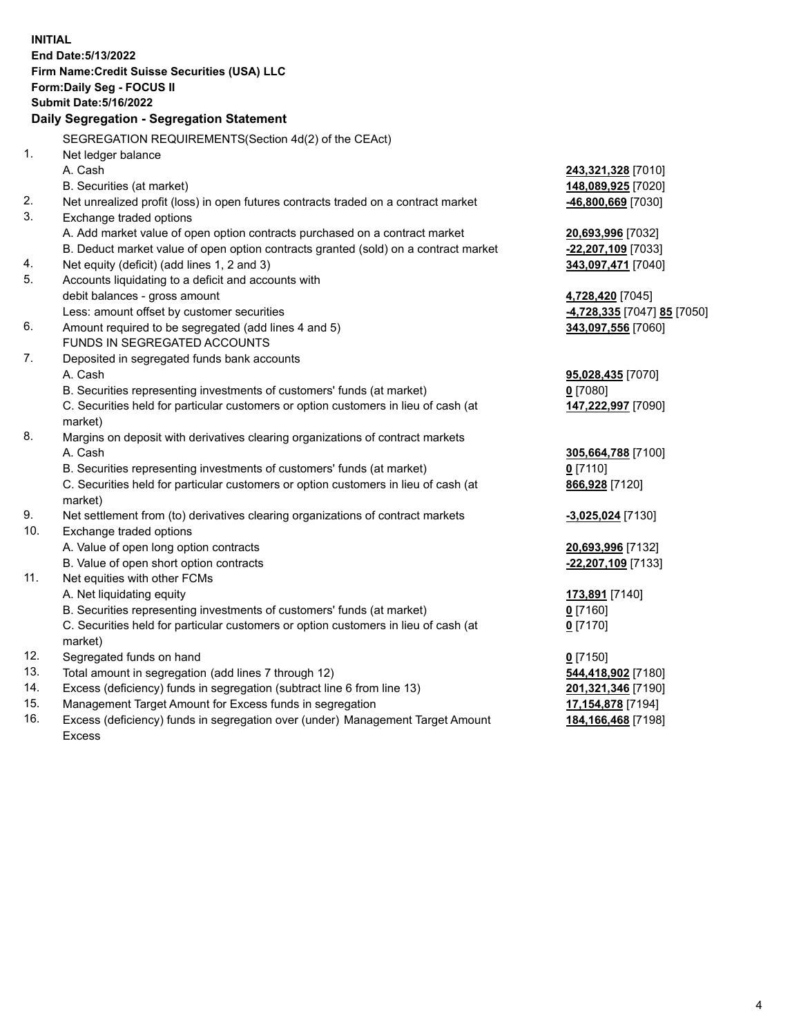|     | <b>INITIAL</b>                                                                                     |                                                 |
|-----|----------------------------------------------------------------------------------------------------|-------------------------------------------------|
|     | End Date: 5/13/2022                                                                                |                                                 |
|     | Firm Name: Credit Suisse Securities (USA) LLC                                                      |                                                 |
|     | Form: Daily Seg - FOCUS II                                                                         |                                                 |
|     | <b>Submit Date: 5/16/2022</b>                                                                      |                                                 |
|     | <b>Daily Segregation - Segregation Statement</b>                                                   |                                                 |
|     |                                                                                                    |                                                 |
|     | SEGREGATION REQUIREMENTS(Section 4d(2) of the CEAct)                                               |                                                 |
| 1.  | Net ledger balance                                                                                 |                                                 |
|     | A. Cash                                                                                            | 243,321,328 [7010]                              |
|     | B. Securities (at market)                                                                          | 148,089,925 [7020]                              |
| 2.  | Net unrealized profit (loss) in open futures contracts traded on a contract market                 | -46,800,669 [7030]                              |
| 3.  | Exchange traded options                                                                            |                                                 |
|     | A. Add market value of open option contracts purchased on a contract market                        | 20,693,996 [7032]                               |
|     | B. Deduct market value of open option contracts granted (sold) on a contract market                | -22,207,109 [7033]                              |
| 4.  | Net equity (deficit) (add lines 1, 2 and 3)                                                        | 343,097,471 [7040]                              |
| 5.  | Accounts liquidating to a deficit and accounts with                                                |                                                 |
|     | debit balances - gross amount                                                                      | 4,728,420 [7045]                                |
| 6.  | Less: amount offset by customer securities<br>Amount required to be segregated (add lines 4 and 5) | <mark>-4,728,335</mark> [7047] <b>85</b> [7050] |
|     | FUNDS IN SEGREGATED ACCOUNTS                                                                       | 343,097,556 [7060]                              |
| 7.  |                                                                                                    |                                                 |
|     | Deposited in segregated funds bank accounts<br>A. Cash                                             | 95,028,435 [7070]                               |
|     | B. Securities representing investments of customers' funds (at market)                             | $0$ [7080]                                      |
|     | C. Securities held for particular customers or option customers in lieu of cash (at                | 147,222,997 [7090]                              |
|     | market)                                                                                            |                                                 |
| 8.  | Margins on deposit with derivatives clearing organizations of contract markets                     |                                                 |
|     | A. Cash                                                                                            | 305,664,788 [7100]                              |
|     | B. Securities representing investments of customers' funds (at market)                             | $0$ [7110]                                      |
|     | C. Securities held for particular customers or option customers in lieu of cash (at                | 866,928 [7120]                                  |
|     | market)                                                                                            |                                                 |
| 9.  | Net settlement from (to) derivatives clearing organizations of contract markets                    | -3,025,024 [7130]                               |
| 10. | Exchange traded options                                                                            |                                                 |
|     | A. Value of open long option contracts                                                             | 20,693,996 [7132]                               |
|     | B. Value of open short option contracts                                                            | 22,207,109 [7133]                               |
| 11. | Net equities with other FCMs                                                                       |                                                 |
|     | A. Net liquidating equity                                                                          | 173,891 [7140]                                  |
|     | B. Securities representing investments of customers' funds (at market)                             | 0 [7160]                                        |
|     | C. Securities held for particular customers or option customers in lieu of cash (at                | $0$ [7170]                                      |
|     | market)                                                                                            |                                                 |
| 12. | Segregated funds on hand                                                                           | $0$ [7150]                                      |
| 13. | Total amount in segregation (add lines 7 through 12)                                               | 544,418,902 [7180]                              |
| 14. | Excess (deficiency) funds in segregation (subtract line 6 from line 13)                            | 201,321,346 [7190]                              |
| 15. | Management Target Amount for Excess funds in segregation                                           | 17,154,878 [7194]                               |
| 16. | Excess (deficiency) funds in segregation over (under) Management Target Amount                     | 184, 166, 468 [7198]                            |
|     | <b>Excess</b>                                                                                      |                                                 |